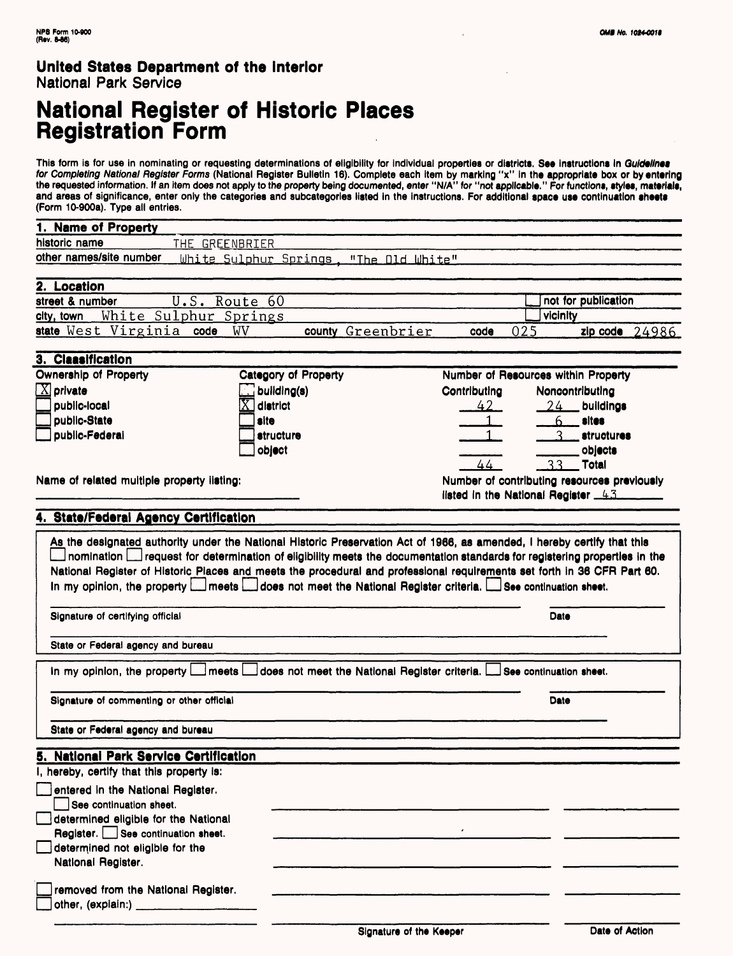## **National Register of Historic Places Registration Form**

This form is for use in nominating or requesting determinations of eligibility for individual properties or districts. **See** instructions In Gu/de//net *for Completing National Register Forms* (National Register Bulletin 16). Complete each item by marking "x" In the appropriate box or by entering the requested information. If an item does not apply to the property being documented, enter "N/A" for "not applicable." For functions, styles, materials, and areas of significance, enter only the categories and subcategories listed in the instructions. For additional space use continuation sheets (Form 10-900a). Type all entries.

| 1. Name of Property                                                                                                                                                                                                                                                                                                                                                                                                                                                                                                                           |                                                             |                                     |                                             |  |
|-----------------------------------------------------------------------------------------------------------------------------------------------------------------------------------------------------------------------------------------------------------------------------------------------------------------------------------------------------------------------------------------------------------------------------------------------------------------------------------------------------------------------------------------------|-------------------------------------------------------------|-------------------------------------|---------------------------------------------|--|
| historic name                                                                                                                                                                                                                                                                                                                                                                                                                                                                                                                                 | THE GREENBRIER                                              |                                     |                                             |  |
| other names/site number                                                                                                                                                                                                                                                                                                                                                                                                                                                                                                                       | White Sulphur Springs, "The Old White"                      |                                     |                                             |  |
|                                                                                                                                                                                                                                                                                                                                                                                                                                                                                                                                               |                                                             |                                     |                                             |  |
| 2. Location                                                                                                                                                                                                                                                                                                                                                                                                                                                                                                                                   |                                                             |                                     |                                             |  |
| street & number                                                                                                                                                                                                                                                                                                                                                                                                                                                                                                                               | U.S. Route 60                                               |                                     | not for publication                         |  |
| White Sulphur Springs<br>city, town                                                                                                                                                                                                                                                                                                                                                                                                                                                                                                           |                                                             |                                     | vicinity                                    |  |
| state West Virginia code                                                                                                                                                                                                                                                                                                                                                                                                                                                                                                                      | WV<br>county Greenbrier                                     | 025<br>code                         | $zip code$ 24986                            |  |
|                                                                                                                                                                                                                                                                                                                                                                                                                                                                                                                                               |                                                             |                                     |                                             |  |
| 3. Claasification<br><b>Ownership of Property</b>                                                                                                                                                                                                                                                                                                                                                                                                                                                                                             |                                                             |                                     |                                             |  |
|                                                                                                                                                                                                                                                                                                                                                                                                                                                                                                                                               | Category of Property                                        | Number of Resources within Property |                                             |  |
| $[X]$ private                                                                                                                                                                                                                                                                                                                                                                                                                                                                                                                                 | $\Box$ building(s)                                          | Contributing                        | Noncontributing                             |  |
| public-local                                                                                                                                                                                                                                                                                                                                                                                                                                                                                                                                  | district                                                    | $42-$                               | 24<br>buildings                             |  |
| public-State                                                                                                                                                                                                                                                                                                                                                                                                                                                                                                                                  | site                                                        |                                     | sites<br>$6 \overline{6}$                   |  |
| public-Federal                                                                                                                                                                                                                                                                                                                                                                                                                                                                                                                                | structure                                                   |                                     | <i><b>atructures</b></i>                    |  |
|                                                                                                                                                                                                                                                                                                                                                                                                                                                                                                                                               | object                                                      |                                     | objects                                     |  |
|                                                                                                                                                                                                                                                                                                                                                                                                                                                                                                                                               |                                                             | 44                                  | 33<br><b>Total</b>                          |  |
| Name of related multiple property ilsting:                                                                                                                                                                                                                                                                                                                                                                                                                                                                                                    |                                                             |                                     | Number of contributing resources previously |  |
|                                                                                                                                                                                                                                                                                                                                                                                                                                                                                                                                               |                                                             | listed in the National Register 43  |                                             |  |
| 4. State/Federal Agency Certification                                                                                                                                                                                                                                                                                                                                                                                                                                                                                                         |                                                             |                                     |                                             |  |
| As the designated authority under the National Historic Preservation Act of 1966, as amended, I hereby certify that this<br>nomination Luisequest for determination of eligibility meets the documentation standards for registering properties in the<br>National Register of Historic Piaces and meets the procedural and professional requirements set forth in 36 CFR Part 60.<br>In my opinion, the property   meets   does not meet the National Register criteria. See continuation sheet.<br>Signature of certifying official<br>Date |                                                             |                                     |                                             |  |
| State or Federal agency and bureau                                                                                                                                                                                                                                                                                                                                                                                                                                                                                                            |                                                             |                                     |                                             |  |
| In my opinion, the property $\Box$                                                                                                                                                                                                                                                                                                                                                                                                                                                                                                            | _l meets L<br>does not meet the National Register criteria. |                                     | See continuation sheet.                     |  |
| Signature of commenting or other official                                                                                                                                                                                                                                                                                                                                                                                                                                                                                                     |                                                             |                                     | Date                                        |  |
| State or Federal agency and bureau                                                                                                                                                                                                                                                                                                                                                                                                                                                                                                            |                                                             |                                     |                                             |  |
| 5. National Park Service Certification                                                                                                                                                                                                                                                                                                                                                                                                                                                                                                        |                                                             |                                     |                                             |  |
| I, hereby, certify that this property is:                                                                                                                                                                                                                                                                                                                                                                                                                                                                                                     |                                                             |                                     |                                             |  |
| entered in the National Register.<br>See continuation sheet.                                                                                                                                                                                                                                                                                                                                                                                                                                                                                  |                                                             |                                     |                                             |  |
| determined eligible for the National                                                                                                                                                                                                                                                                                                                                                                                                                                                                                                          |                                                             |                                     |                                             |  |
| Register. See continuation sheet.                                                                                                                                                                                                                                                                                                                                                                                                                                                                                                             |                                                             |                                     |                                             |  |
| determined not eligible for the                                                                                                                                                                                                                                                                                                                                                                                                                                                                                                               |                                                             |                                     |                                             |  |
| National Register.                                                                                                                                                                                                                                                                                                                                                                                                                                                                                                                            |                                                             |                                     |                                             |  |
| removed from the National Register.<br>other, (explain:) ___________                                                                                                                                                                                                                                                                                                                                                                                                                                                                          |                                                             |                                     |                                             |  |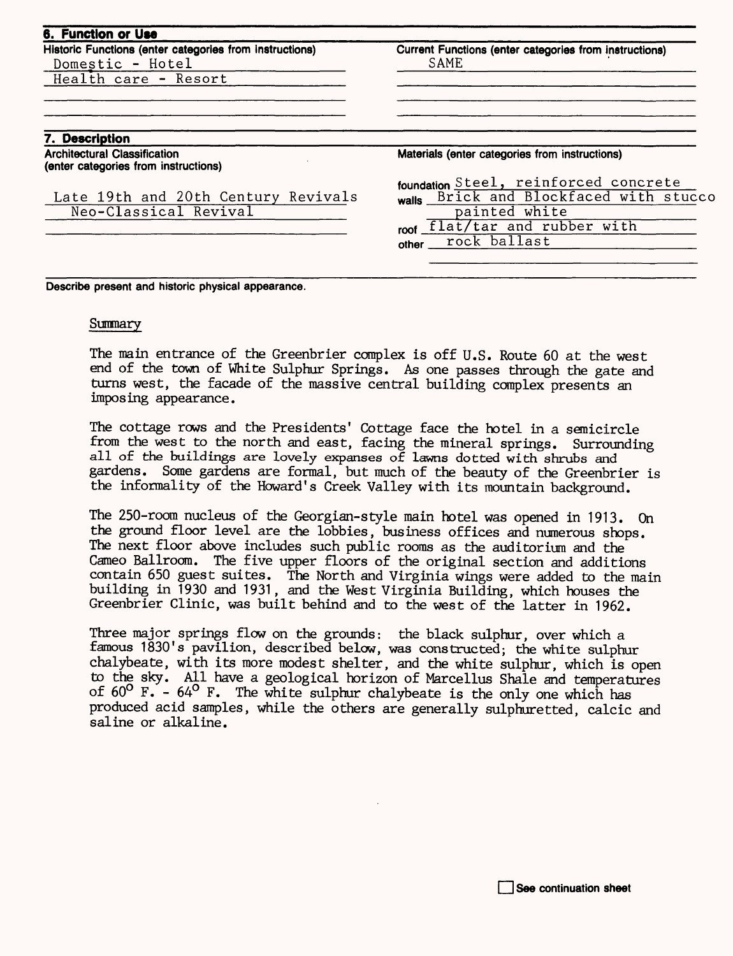| 6. Function or Use<br>Historic Functions (enter categories from instructions) | Current Functions (enter categories from instructions) |
|-------------------------------------------------------------------------------|--------------------------------------------------------|
| Domestic - Hotel                                                              | SAME                                                   |
| Health care - Resort                                                          |                                                        |
| 7. Description                                                                |                                                        |
| <b>Architectural Classification</b>                                           |                                                        |
| (enter categories from instructions)                                          | Materials (enter categories from instructions)         |
|                                                                               | foundation Steel, reinforced concrete                  |
| Late 19th and 20th Century Revivals                                           | walls Brick and Blockfaced with stucco                 |
| Neo-Classical Revival                                                         | painted white                                          |
|                                                                               | roof flat/tar and rubber with                          |
|                                                                               | other __ rock ballast                                  |
|                                                                               |                                                        |

**Describe present and historic physical appearance.**

#### Summary

The main entrance of the Greenbrier complex is off U.S. Route 60 at the west end of the town of White Sulphur Springs. As one passes through the gate and turns west, the facade of the massive central building complex presents an imposing appearance.

The cottage rows and the Presidents' Cottage face the hotel in a semicircle from the west to the north and east, facing the mineral springs. Surrounding all of the buildings are lovely expanses of lawns dotted with shrubs and gardens. Some gardens are formal, but much of the beauty of the Greenbrier is the informality of the Howard's Creek Valley with its mountain background.

The 250-room nucleus of the Georgian-style main hotel was opened in 1913. On the ground floor level are the lobbies, business offices and numerous shops. The next floor above includes such public rooms as the auditorium and the Cameo Ballroom. The five upper floors of the original section and additions contain 650 guest suites. The North and Virginia wings were added to the main building in 1930 and 1931, and the West Virginia Building, which houses the Greenbrier Clinic, was built behind and to the west of the latter in 1962.

Three major springs flow on the grounds: the black sulphur, over which a famous 1830's pavilion, described below, was constructed; the white sulphur chalybeate, with its more modest shelter, and the white sulphur, which is open to the sky. All have a geological horizon of Marcellus Shale and temperatures of  $60^{\circ}$  F. -  $64^{\circ}$  F. The white sulphur chalybeate is the only one which has produced acid samples, while the others are generally sulphuretted, calcic and saline or alkaline.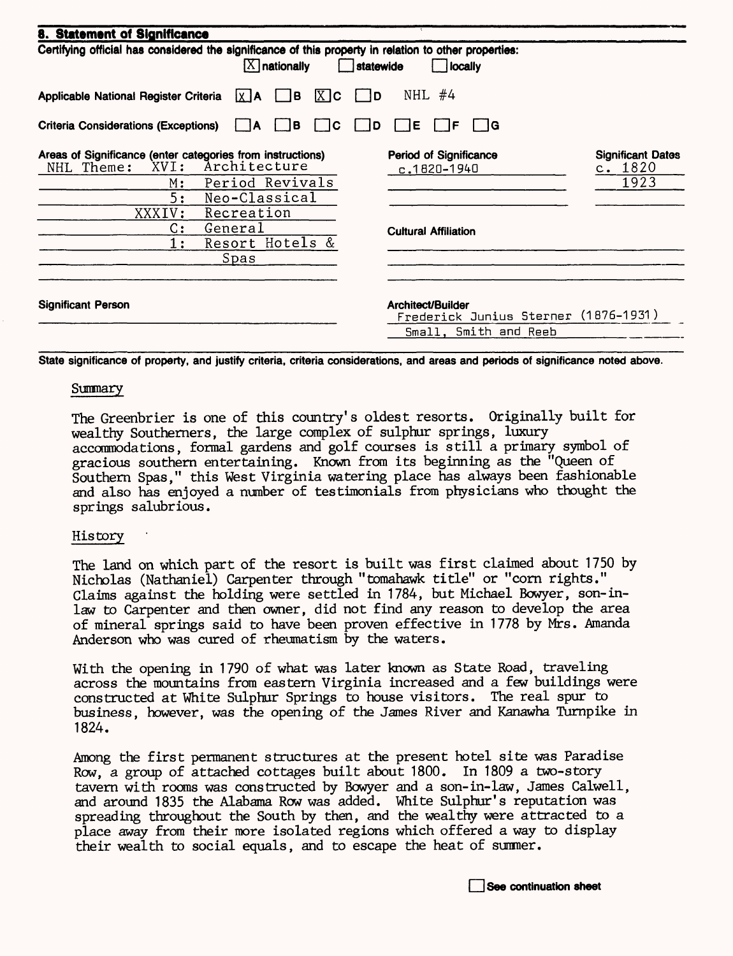| 8. Statement of Significance                                                                                                                      |                                                           |                                             |  |  |  |
|---------------------------------------------------------------------------------------------------------------------------------------------------|-----------------------------------------------------------|---------------------------------------------|--|--|--|
| Certifying official has considered the significance of this property in relation to other properties:<br>$[X]$ nationally<br>statewide<br>locally |                                                           |                                             |  |  |  |
| $X$ $c$<br>l B<br>Applicable National Register Criteria<br>$X$ <b>A</b>                                                                           | NHL<br>#4<br>١D                                           |                                             |  |  |  |
| <b>Criteria Considerations (Exceptions)</b><br>l B<br>١A                                                                                          | IE.<br>- IG<br>ΙC<br>D<br>IF                              |                                             |  |  |  |
| Areas of Significance (enter categories from instructions)<br>Architecture<br>XVI:<br>NHL Theme:<br>Period Revivals<br>М:                         | <b>Period of Significance</b><br>$c.1820 - 1940$          | <b>Significant Dates</b><br>c. 1820<br>1923 |  |  |  |
| 5:<br>Neo-Classical<br>Recreation<br>XXXIV:                                                                                                       |                                                           |                                             |  |  |  |
| C:<br>General<br>Resort Hotels &<br>1:                                                                                                            | <b>Cultural Affiliation</b>                               |                                             |  |  |  |
| Spas                                                                                                                                              |                                                           |                                             |  |  |  |
| <b>Significant Person</b>                                                                                                                         | Architect/Builder<br>Frederick Junius Sterner (1876-1931) |                                             |  |  |  |
|                                                                                                                                                   | Small, Smith and Reeb                                     |                                             |  |  |  |

**State significance of property, and justify criteria, criteria considerations, and areas and periods of significance noted above.** 

#### **Summary**

The Greenbrier is one of this country's oldest resorts. Originally built for wealthy Southerners, the large complex of sulphur springs, luxury accommodations, formal gardens and golf courses is still a primary symbol of gracious southern entertaining. Known from its beginning as the "Queen of Southern Spas," this West Virginia watering place has always been fashionable and also has enjoyed a number of testimonials from physicians who thought the springs salubrious.

#### History

The land on which part of the resort is built was first claimed about 1750 by Nicholas (Nathaniel) Carpenter through "tomahawk title" or "corn rights." Claims against the holding were settled in 1784, but Michael Bowyer, son-inlaw to Carpenter and then owner, did not find any reason to develop the area of mineral springs said to have been proven effective in 1778 by Mrs. Amanda Anderson who was cured of rheumatism by the waters.

With the opening in 1790 of what was later known as State Road, traveling across the mountains from eastern Virginia increased and a few buildings were constructed at White Sulphur Springs to house visitors. The real spur to business, however, was the opening of the James River and Kanawha Turnpike in 1824.

Among the first permanent structures at the present hotel site was Paradise Row, a group of attached cottages built about 1800. In 1809 a two-story tavern with rooms was constructed by Bowyer and a son-in-law, James Calwell, and around 1835 the Alabama Row was added. White Sulphur's reputation was spreading throughout the South by then, and the wealthy were attracted to a place away from their more isolated regions which offered a way to display their wealth to social equals, and to escape the heat of summer.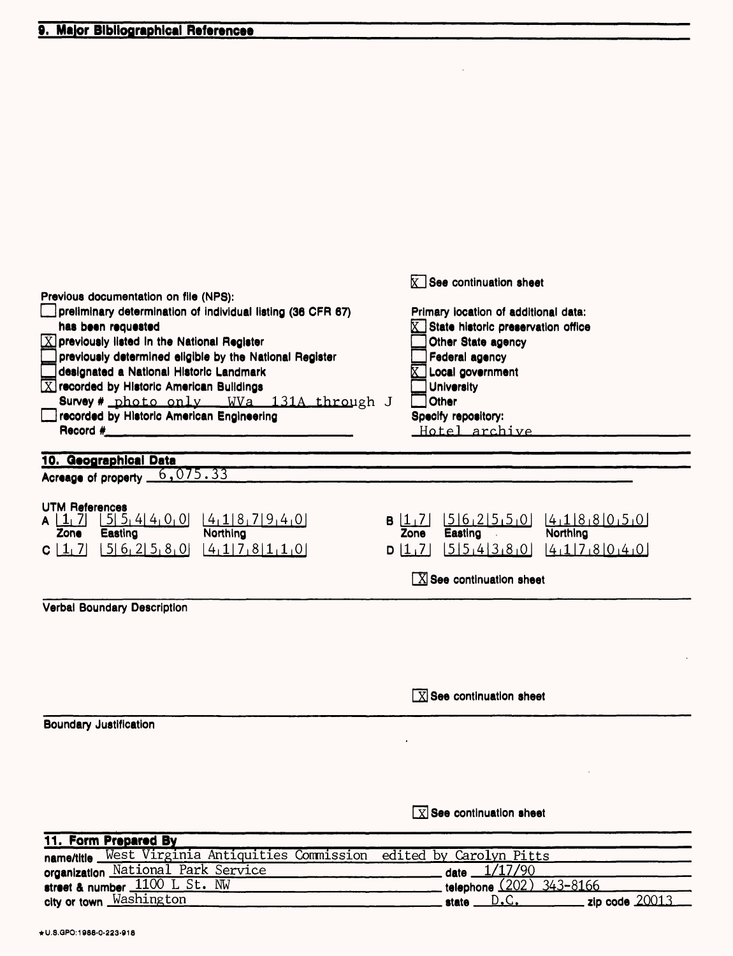|                                                                                                                                                                                                                                                                                                                                                                                                                                                        | $\mathbf{X}$ See continuation sheet                                                                                                                                                                   |
|--------------------------------------------------------------------------------------------------------------------------------------------------------------------------------------------------------------------------------------------------------------------------------------------------------------------------------------------------------------------------------------------------------------------------------------------------------|-------------------------------------------------------------------------------------------------------------------------------------------------------------------------------------------------------|
| Previous documentation on file (NPS):<br>preliminary determination of individual listing (36 CFR 67)<br>has been requested<br>$\boxed{\text{X}}$ previously listed in the National Register<br>previously determined eligible by the National Register<br>designated a National Historic Landmark<br>$\boxed{\text{X}}$ recorded by Historic American Buildings<br>Survey # photo only WVa 131A through J<br>recorded by Historic American Engineering | Primary location of additional data:<br>State historic preservation office<br>Other State agency<br>Federal agency<br>Local government<br>University<br>Other<br>Specify repository:<br>Hotel archive |
|                                                                                                                                                                                                                                                                                                                                                                                                                                                        |                                                                                                                                                                                                       |
| 10. Geographical Data<br>Acreage of property 6,075.33                                                                                                                                                                                                                                                                                                                                                                                                  |                                                                                                                                                                                                       |
|                                                                                                                                                                                                                                                                                                                                                                                                                                                        |                                                                                                                                                                                                       |
| <b>UTM References</b><br>515, 414, 0.0<br>4187940<br>$A \mid 1/7$<br>Northing<br>Zone<br>Easting<br>$[5] 6_1 2] 5_1 8_1 0$<br>4178110<br>$C \mid 1/7$                                                                                                                                                                                                                                                                                                  | [5]6[2]5[5]0]<br>4188050<br>B 1,7 <br>Easting<br>Northing<br>Zone<br>554380<br>4178040<br><u> 7   D</u><br>$[X]$ See continuation sheet                                                               |
|                                                                                                                                                                                                                                                                                                                                                                                                                                                        |                                                                                                                                                                                                       |
| Verbal Boundary Description                                                                                                                                                                                                                                                                                                                                                                                                                            |                                                                                                                                                                                                       |
|                                                                                                                                                                                                                                                                                                                                                                                                                                                        | $\boxed{\text{X}}$ See continuation sheet                                                                                                                                                             |
| <b>Boundary Justification</b>                                                                                                                                                                                                                                                                                                                                                                                                                          |                                                                                                                                                                                                       |
|                                                                                                                                                                                                                                                                                                                                                                                                                                                        |                                                                                                                                                                                                       |
|                                                                                                                                                                                                                                                                                                                                                                                                                                                        | $\boxed{\text{X}}$ See continuation sheet                                                                                                                                                             |
| 11. Form Prepared By                                                                                                                                                                                                                                                                                                                                                                                                                                   |                                                                                                                                                                                                       |
| name/title West Virginia Antiquities Commission                                                                                                                                                                                                                                                                                                                                                                                                        | edited by Carolyn Pitts                                                                                                                                                                               |
| organization National Park Service                                                                                                                                                                                                                                                                                                                                                                                                                     | date 1/17/90                                                                                                                                                                                          |
| street & number 1100 L St. NW                                                                                                                                                                                                                                                                                                                                                                                                                          | telephone (202) 343-8166                                                                                                                                                                              |
| city or town Washington                                                                                                                                                                                                                                                                                                                                                                                                                                | zip code $20013$<br>state $D.C.$                                                                                                                                                                      |

 $\bar{a}$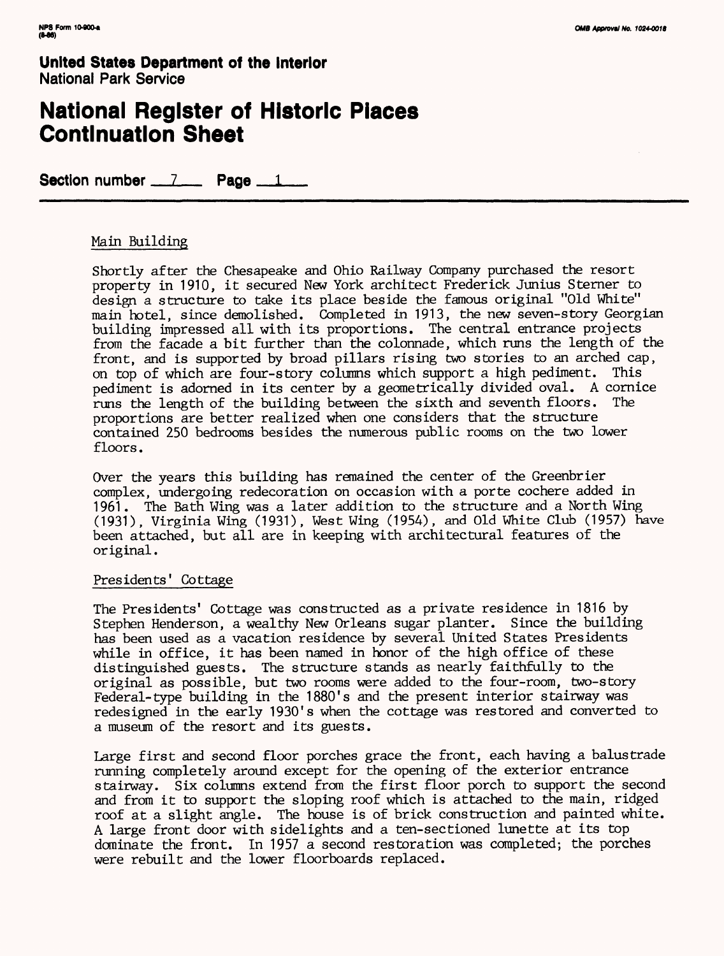### **National Register of Historic Places Continuation Sheet**

Section number  $\frac{7}{2}$  Page  $\frac{1}{2}$ 

### Main Building

Shortly after the Chesapeake and Ohio Railway Company purchased the resort property in 1910, it secured New York architect Frederick Junius Sterner to design a structure to take its place beside the famous original "Old White" main hotel, since demolished. Completed in 1913, the new seven-story Georgian building impressed all with its proportions. The central entrance projects from the facade a bit further than the colonnade, which runs the length of the front, and is supported by broad pillars rising two stories to an arched cap, on top of which are four-story columns which support a high pediment. This pediment is adorned in its center by a geometrically divided oval. A cornice runs the length of the building between the sixth and seventh floors. The proportions are better realized when one considers that the structure contained 250 bedrooms besides the numerous public rooms on the two lower floors.

Over the years this building has remained the center of the Greenbrier complex, undergoing redecoration on occasion with a porte cochere added in 1961. The Bath Wing was a later addition to the structure and a North Wing (1931), Virginia Wing (1931), West Wing (1954), and Old White Club (1957) have been attached, but all are in keeping with architectural features of the original.

#### Presidents' Cottage

The Presidents' Cottage was constructed as a private residence in 1816 by Stephen Henderson, a wealthy New Orleans sugar planter. Since the building has been used as a vacation residence by several United States Presidents while in office, it has been named in honor of the high office of these distinguished guests. The structure stands as nearly faithfully to the original as possible, but two rooms were added to the four-room, two-story Federal-type building in the 1880's and the present interior stairway was redesigned in the early 1930's when the cottage was restored and converted to a museum of the resort and its guests.

Large first and second floor porches grace the front, each having a balustrade running completely around except for the opening of the exterior entrance stairway. Six columns extend from the first floor porch to support the second and from it to support the sloping roof which is attached to the main, ridged roof at a slight angle. The house is of brick construction and painted white. A large front door with sidelights and a ten-sectioned lunette at its top dominate the front. In 1957 a second restoration was completed; the porches were rebuilt and the lower floorboards replaced.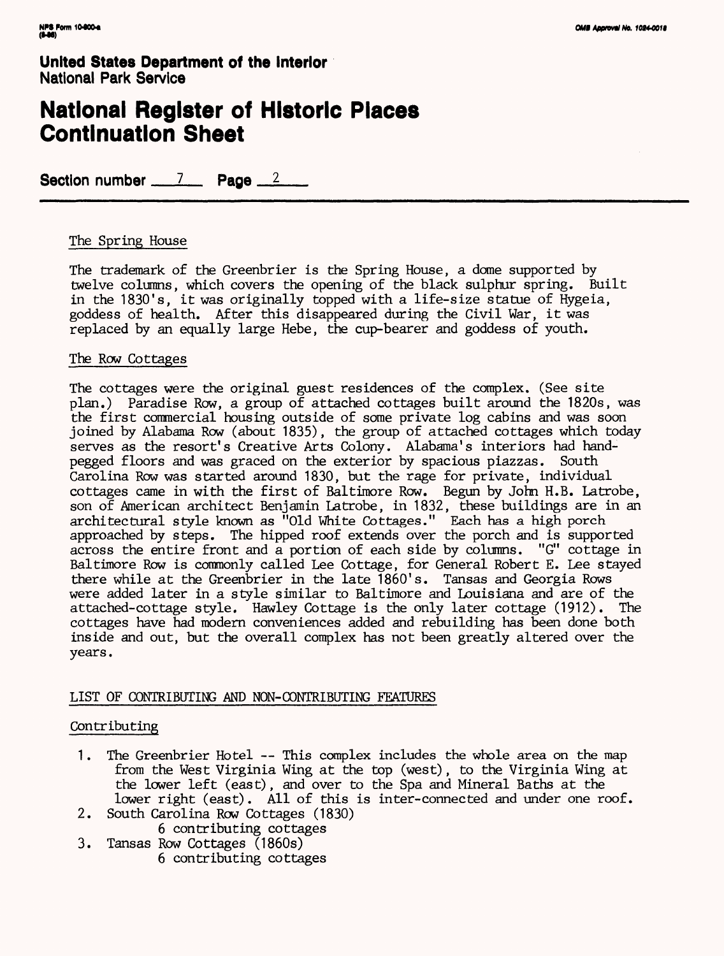## **National Register of Historic Places Continuation Sheet**

Section number 7 Page 2

### The Spring House

The trademark of the Greenbrier is the Spring House, a dome supported by twelve columns, which covers the opening of the black sulphur spring. Built in the 1830's, it was originally topped with a life-size statue of Hygeia, goddess of health. After this disappeared during the Civil War, it was replaced by an equally large Hebe, the cup-bearer and goddess of youth.

#### The Row Cottages

The cottages were the original guest residences of the complex. (See site plan.) Paradise Row, a group of attached cottages built around the 1820s, was the first commercial housing outside of some private log cabins and was soon joined by Alabama Row (about 1835), the group of attached cottages which today serves as the resort's Creative Arts Colony. Alabama's interiors had handpegged floors and was graced on the exterior by spacious piazzas. South Carolina Row was started around 1830, but the rage for private, individual cottages came in with the first of Baltimore Row. Begun by John H.B. Latrobe, son of American architect Benjamin Latrobe, in 1832, these buildings are in an architectural style known as "Old White Cottages." Each has a high porch approached by steps. The hipped roof extends over the porch and is supported across the entire front and a portion of each side by columns. "G" cottage in Baltimore Row is commonly called Lee Cottage, for General Robert E. Lee stayed there while at the Greenbrier in the late 1860's. Tansas and Georgia Rows were added later in a style similar to Baltimore and Louisiana and are of the attached-cottage style. Hawley Cottage is the only later cottage (1912). The cottages have had modern conveniences added and rebuilding has been done both inside and out, but the overall complex has not been greatly altered over the years.

#### LIST OF CONTRIBUTING AND NON-CONTRIBUTING FEATURES

#### Contributing

- 1. The Greenbrier Hotel -- This complex includes the whole area on the map from the West Virginia Wing at the top (west), to the Virginia Wing at the lower left (east), and over to the Spa and Mineral Baths at the lower right (east). All of this is inter-connected and under one roof.
- 2. South Carolina Row Cottages (1830) 6 contributing cottages
- 3. Tansas Row Cottages (1860s) 6 contributing cottages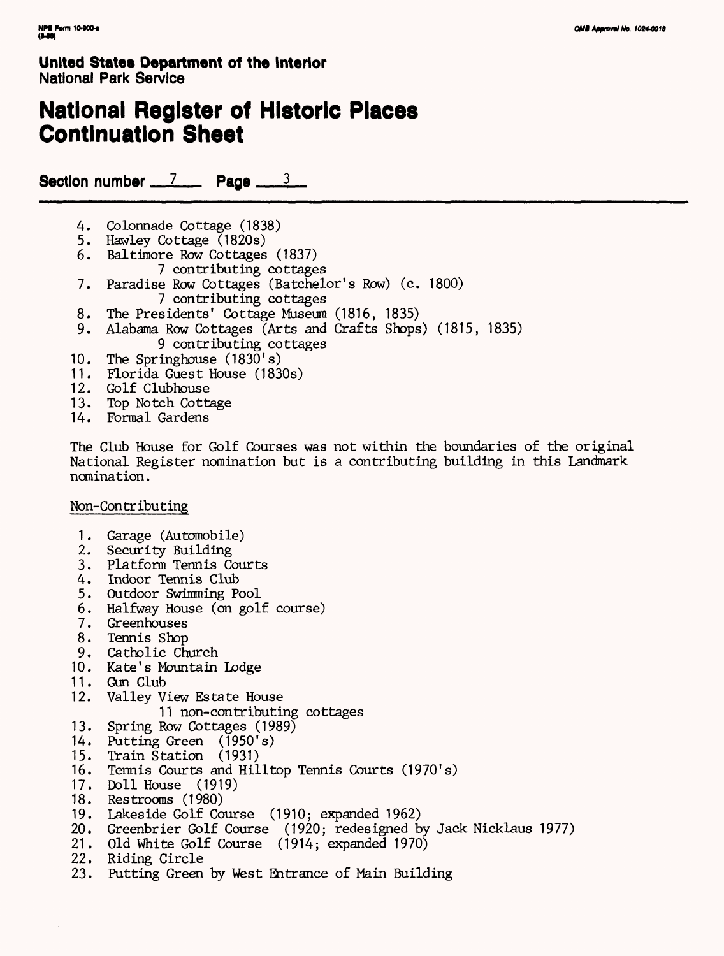# **National Register of Historic Places Continuation Sheet**

Section number  $\frac{7}{2}$  Page  $\frac{3}{2}$ 

- 4. Colonnade Cottage (1838)
- 5. Hawley Cottage (1820s)
- 6. Baltimore Row Cottages (1837)
- 7 contributing cottages
- 7. Paradise Row Cottages (Batchelor's Row) (c. 1800) 7 contributing cottages
- 8. The Presidents' Cottage Museum (1816, 1835)
- 9. Alabama Row Cottages (Arts and Crafts Shops) (1815, 1835) 9 contributing cottages
- 10. The Springhouse (1830's)
- 11. Florida Guest House (1830s)
- 12. Golf Clubhouse
- 13. Top Notch Cottage
- 14. Formal Gardens

The Club House for Golf Courses was not within the boundaries of the original National Register nomination but is a contributing building in this Landmark nomination.

#### Non-Contributing

- 1. Garage (Automobile)
- 2. Security Building
- 3. Platform Tennis Courts
- 4. Indoor Tennis Club
- 5. Outdoor Swimming Pool
- 6. Halfway House (on golf course)
- 7. Greenhouses
- 8. Tennis Shop
- 9. Catholic Church
- 10. Kate's Mountain Lodge
- 11. Gun Club
- 12. Valley View Estate House
	- 11 non-contributing cottages
- 13. Spring Row Cottages (1989)
- 14. Putting Green (1950's)
- 15. Train Station (1931)
- 16. Tennis Courts and Hilltop Tennis Courts (1970's)
- 17. Doll House (1919)
- 18. Restrooms (1980)
- 19. Lakeside Golf Course (1910; expanded 1962)
- 20. Greenbrier Golf Course (1920; redesigned by Jack Nicklaus 1977)
- 21. Old White Golf Course (1914; expanded 1970)
- 22. Riding Circle
- 23. Putting Green by West Entrance of Main Building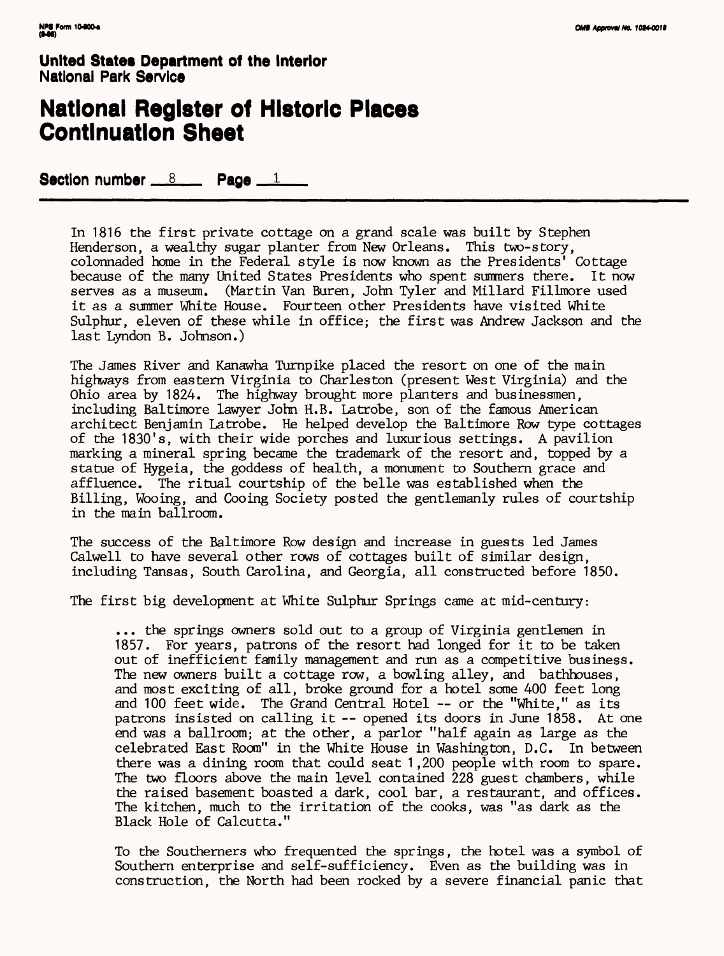## **National Register of Historic Places Continuation Sheet**

Section number  $8 \times 1$ 

In 1816 the first private cottage on a grand scale was built by Stephen Henderson, a wealthy sugar planter from New Orleans. This two-story, colonnaded home in the Federal style is now known as the Presidents' Cottage because of the many United States Presidents who spent summers there. It now serves as a museum. (Martin Van Buren, John Tyler and Millard Fillmore used it as a summer White House. Fourteen other Presidents have visited White Sulphur, eleven of these while in office; the first was Andrew Jackson and the last Lyndon B. Johnson.)

The James River and Kanawha Turnpike placed the resort on one of the main highways from eastern Virginia to Charleston (present West Virginia) and the Ohio area by 1824. The highway brought more planters and businessmen, including Baltimore lawyer John H.B. Latrobe, son of the famous American architect Benjamin Latrobe. He helped develop the Baltimore Row type cottages of the 1830's, with their wide porches and luxurious settings. A pavilion marking a mineral spring became the trademark of the resort and, topped by a statue of Hygeia, the goddess of health, a monument to Southern grace and affluence. The ritual courtship of the belle was established when the Billing, Wooing, and Cooing Society posted the gentlemanly rules of courtship in the main ballroom.

The success of the Baltimore Row design and increase in guests led James Calwell to have several other rows of cottages built of similar design, including Tansas, South Carolina, and Georgia, all constructed before 1850.

The first big development at White Sulphur Springs came at mid-century:

... the springs owners sold out to a group of Virginia gentlemen in 1857. For years, patrons of the resort had longed for it to be taken out of inefficient family management and run as a competitive business. The new owners built a cottage row, a bowling alley, and bathhouses, and most exciting of all, broke ground for a hotel some 400 feet long and 100 feet wide. The Grand Central Hotel — or the "White," as its patrons insisted on calling it — opened its doors in June 1858. At one end was a ballroom; at the other, a parlor "half again as large as the celebrated East Room" in the White House in Washington, D.C. In between there was a dining room that could seat 1 ,200 people with room to spare. The two floors above the main level contained 228 guest chambers, while the raised basement boasted a dark, cool bar, a restaurant, and offices. The kitchen, much to the irritation of the cooks, was "as dark as the Black Hole of Calcutta."

To the Southerners who frequented the springs, the hotel was a symbol of Southern enterprise and self-sufficiency. Even as the building was in construction, the North had been rocked by a severe financial panic that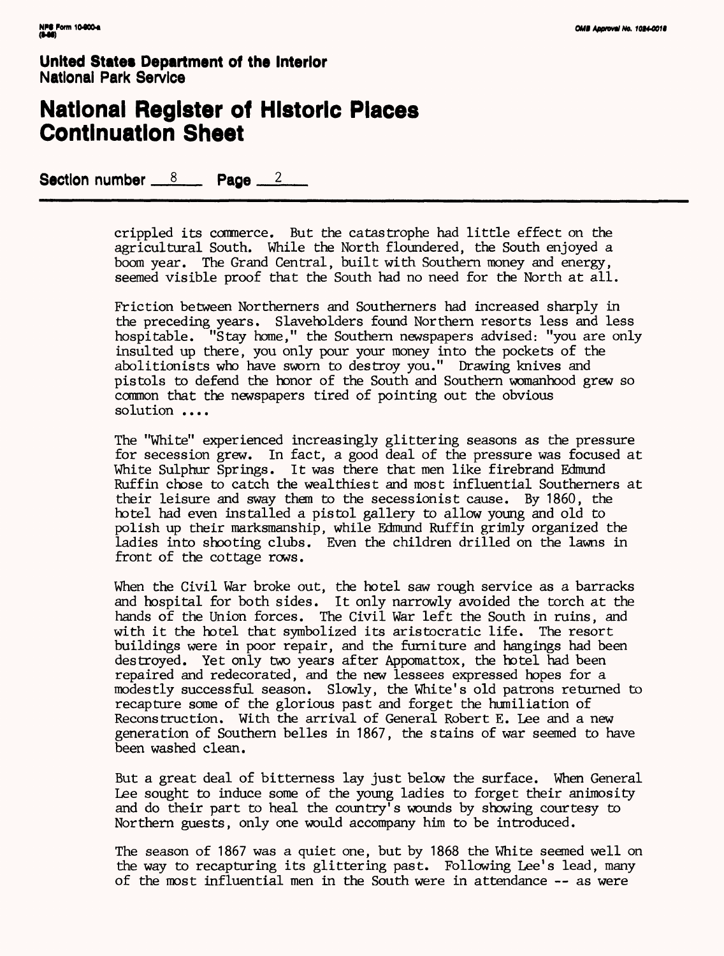### **National Register of Historic Piaces Continuation Sheet**

Section number  $8 \times 12 \times 2$ 

crippled its commerce. But the catastrophe had little effect on the agricultural South. While the North floundered, the South enjoyed a boom year. The Grand Central, built with Southern money and energy, seemed visible proof that the South had no need for the North at all.

Friction between Northerners and Southerners had increased sharply in the preceding years. Slaveholders found Northern resorts less and less hospitable. "Stay home," the Southern newspapers advised: "you are only insulted up there, you only pour your money into the pockets of the abolitionists who have sworn to destroy you." Drawing knives and pistols to defend the honor of the South and Southern womanhood grew so common that the newspapers tired of pointing out the obvious solution ....

The "White" experienced increasingly glittering seasons as the pressure for secession grew. In fact, a good deal of the pressure was focused at White Sulphur Springs. It was there that men like firebrand Edmund Ruffin chose to catch the wealthiest and most influential Southerners at their leisure and sway them to the secessionist cause. By 1860, the hotel had even installed a pistol gallery to allow young and old to polish up their marksmanship, while Edmund Ruffin grimly organized the ladies into shooting clubs. Even the children drilled on the lawns in front of the cottage rows.

When the Civil War broke out, the hotel saw rough service as a barracks and hospital for both sides. It only narrowly avoided the torch at the hands of the Union forces. The Civil War left the South in ruins, and with it the hotel that symbolized its aristocratic life. The resort buildings were in poor repair, and the furniture and hangings had been destroyed. Yet only two years after Appomattox, the hotel had been repaired and redecorated, and the new lessees expressed hopes for a modestly successful season. Slowly, the White's old patrons returned to recapture some of the glorious past and forget the humiliation of Reconstruction. With the arrival of General Robert E. Lee and a new generation of Southern belles in 1867, the stains of war seemed to have been washed clean.

But a great deal of bitterness lay just below the surface. When General Lee sought to induce some of the young ladies to forget their animosity and do their part to heal the country's wounds by showing courtesy to Northern guests, only one would accompany him to be introduced.

The season of 1867 was a quiet one, but by 1868 the White seemed well on the way to recapturing its glittering past. Following Lee's lead, many of the most influential men in the South were in attendance — as were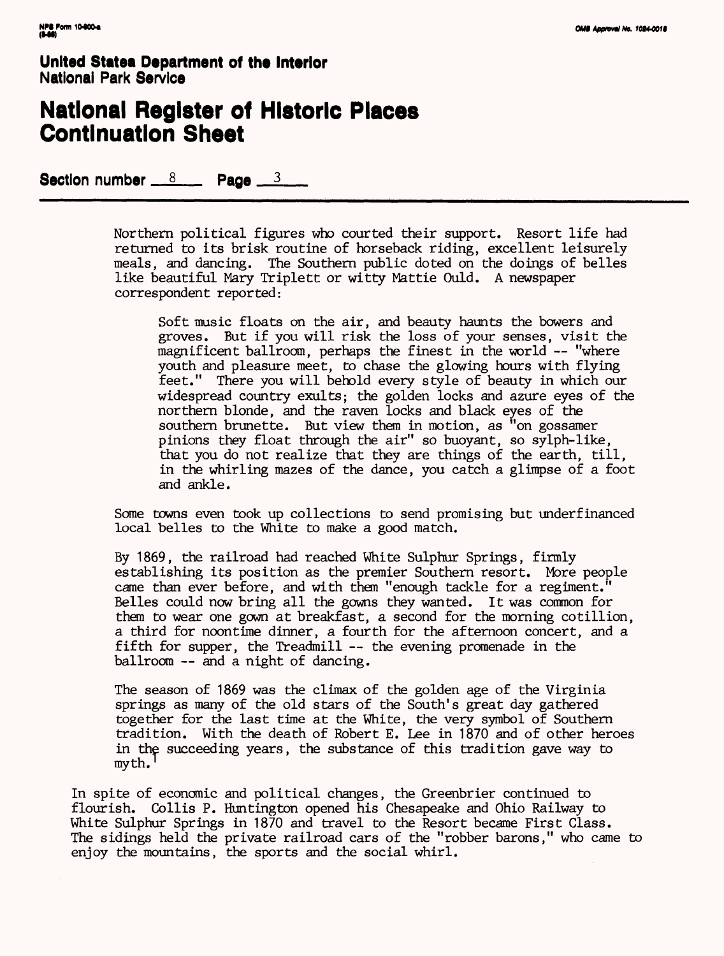### **National Register of Historic Places Continuation Sheet**

Section number  $8 \times 8$  Page  $3 \times 3$ 

Northern political figures who courted their support. Resort life had returned to its brisk routine of horseback riding, excellent leisurely meals, and dancing. The Southern public doted on the doings of belles like beautiful Mary Triplett or witty Mattie Ould. A newspaper correspondent reported:

Soft music floats on the air, and beauty haunts the bowers and groves. But if you will risk the loss of your senses, visit the magnificent ballroom, perhaps the finest in the world — "where youth and pleasure meet, to chase the glowing hours with flying feet." There you will behold every style of beauty in which our widespread country exults; the golden locks and azure eyes of the northern blonde, and the raven locks and black eyes of the southern brunette. But view them in motion, as "on gossamer pinions they float through the air" so buoyant, so sylph-like, that you do not realize that they are things of the earth, till, in the whirling mazes of the dance, you catch a glimpse of a foot and ankle.

Some towns even took up collections to send promising but underfinanced local belles to the White to make a good match.

By 1869, the railroad had reached White Sulphur Springs, firmly establishing its position as the premier Southern resort. More people came than ever before, and with them "enough tackle for a regiment." Belles could now bring all the gowns they wanted. It was common for them to wear one gown at breakfast, a second for the morning cotillion, a third for noontime dinner, a fourth for the afternoon concert, and a fifth for supper, the Treadmill -- the evening promenade in the ballroom -- and a night of dancing.

The season of 1869 was the climax of the golden age of the Virginia springs as many of the old stars of the South's great day gathered together for the last time at the White, the very symbol of Southern tradition. With the death of Robert E. Lee in 1870 and of other heroes in the succeeding years, the substance of this tradition gave way to myth.'

In spite of economic and political changes, the Greenbrier continued to flourish. Collis P. Huntington opened his Chesapeake and Ohio Railway to White Sulphur Springs in 1870 and travel to the Resort became First Class. The sidings held the private railroad cars of the "robber barons," who came to enjoy the mountains, the sports and the social whirl.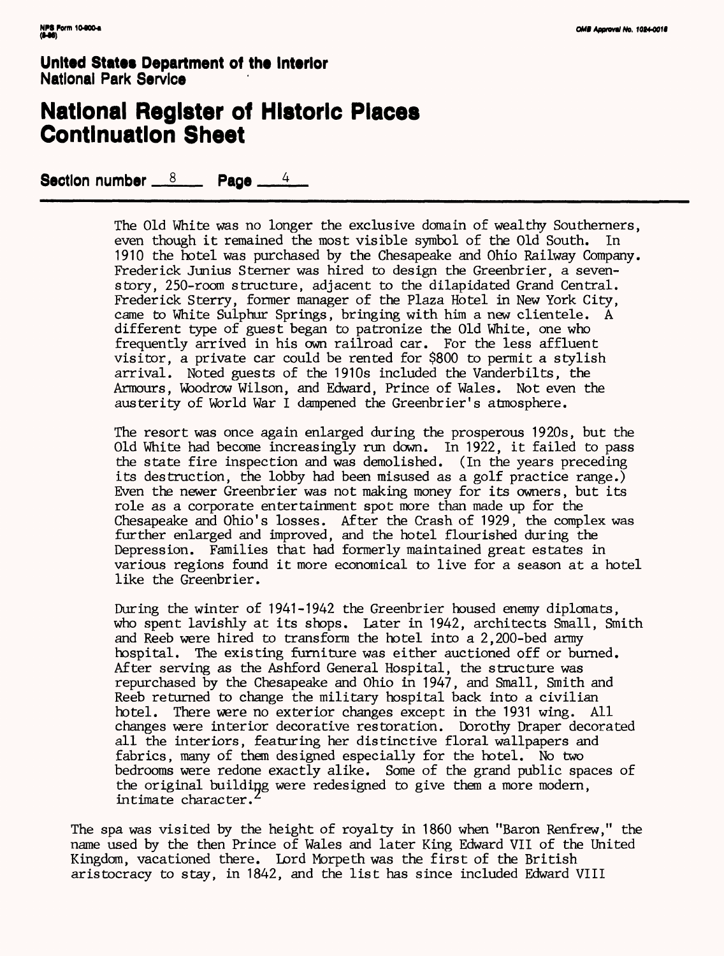### **National Register of Historic Places Continuation Sheet**

Section number  $8 \times 14$ 

The Old White was no longer the exclusive domain of wealthy Southerners, even though it remained the most visible symbol of the Old South. In 1910 the hotel was purchased by the Chesapeake and Ohio Railway Company. Frederick Junius Sterner was hired to design the Greenbrier, a sevenstory, 250-room structure, adjacent to the dilapidated Grand Central. Frederick Sterry, former manager of the Plaza Hotel in New York City, came to White Sulphur Springs, bringing with him a new clientele. A different type of guest began to patronize the Old White, one who frequently arrived in his own railroad car. For the less affluent visitor, a private car could be rented for \$800 to permit a stylish arrival. Noted guests of the 1910s included the Vanderbilts, the Armours, Woodrow Wilson, and Edward, Prince of Wales. Not even the austerity of World War I dampened the Greenbrier's atmosphere.

The resort was once again enlarged during the prosperous 1920s, but the Old White had become increasingly run down. In 1922, it failed to pass the state fire inspection and was demolished. (In the years preceding its destruction, the lobby had been misused as a golf practice range.) Even the newer Greenbrier was not making money for its owners, but its role as a corporate entertainment spot more than made up for the Chesapeake and Ohio's losses. After the Crash of 1929, the complex was further enlarged and improved, and the hotel flourished during the Depression. Families that had formerly maintained great estates in various regions found it more economical to live for a season at a hotel like the Greenbrier.

During the winter of 1941-1942 the Greenbrier housed enemy diplomats, who spent lavishly at its shops. Later in 1942, architects Small, Smith and Reeb were hired to transform the hotel into a 2,200-bed army hospital. The existing furniture was either auctioned off or burned. After serving as the Ashford General Hospital, the structure was repurchased by the Chesapeake and Ohio in 1947, and Small, Smith and Reeb returned to change the military hospital back into a civilian hotel. There were no exterior changes except in the 1931 wing. All changes were interior decorative restoration. Dorothy Draper decorated all the interiors, featuring her distinctive floral wallpapers and fabrics, many of them designed especially for the hotel. No two bedrooms were redone exactly alike. Some of the grand public spaces of the original building were redesigned to give them a more modern, intimate character.

The spa was visited by the height of royalty in 1860 when "Baron Renfrew," the name used by the then Prince of Wales and later King Edward VII of the United Kingdom, vacationed there. Lord Morpeth was the first of the British aristocracy to stay, in 1842, and the list has since included Edward VIII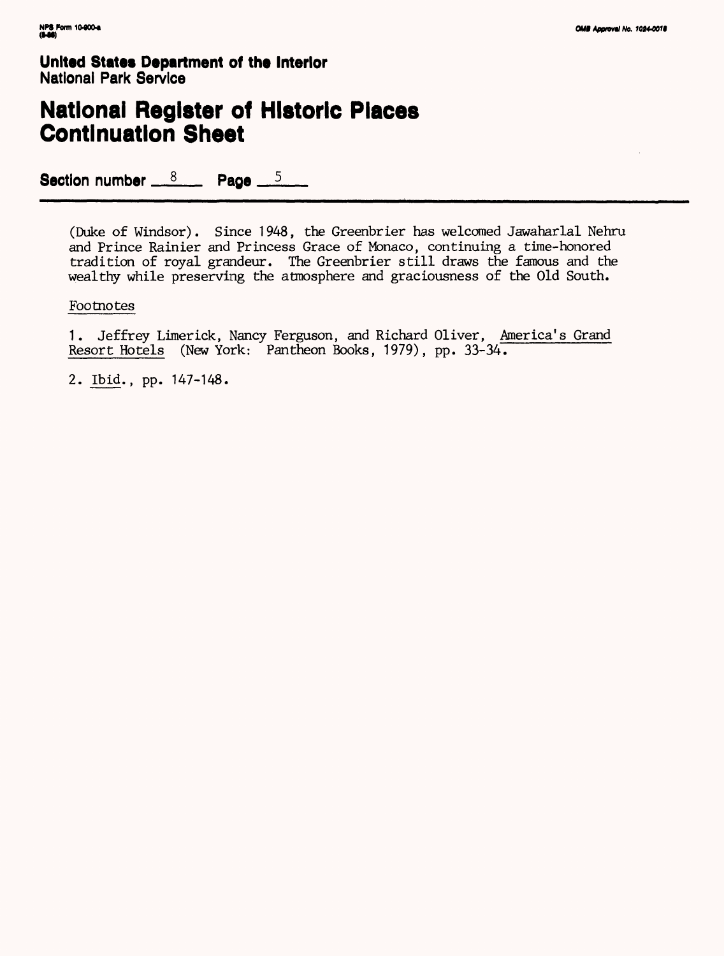## **National Register of Historic Places Continuation Sheet**

Section number  $8 \times 8$  Page  $5 \times 5$ 

(Duke of Windsor). Since 1948, the Greenbrier has welcomed Jawaharlal Nehru and Prince Rainier and Princess Grace of Monaco, continuing a time-honored tradition of royal grandeur. The Greenbrier still draws the famous and the wealthy while preserving the atmosphere and graciousness of the Old South.

#### Footnotes

1. Jeffrey Limerick, Nancy Ferguson, and Richard Oliver, America's Grand Resort Hotels (New York: Pantheon Books, 1979), pp. 33-34.

2. Ibid., pp. 147-148.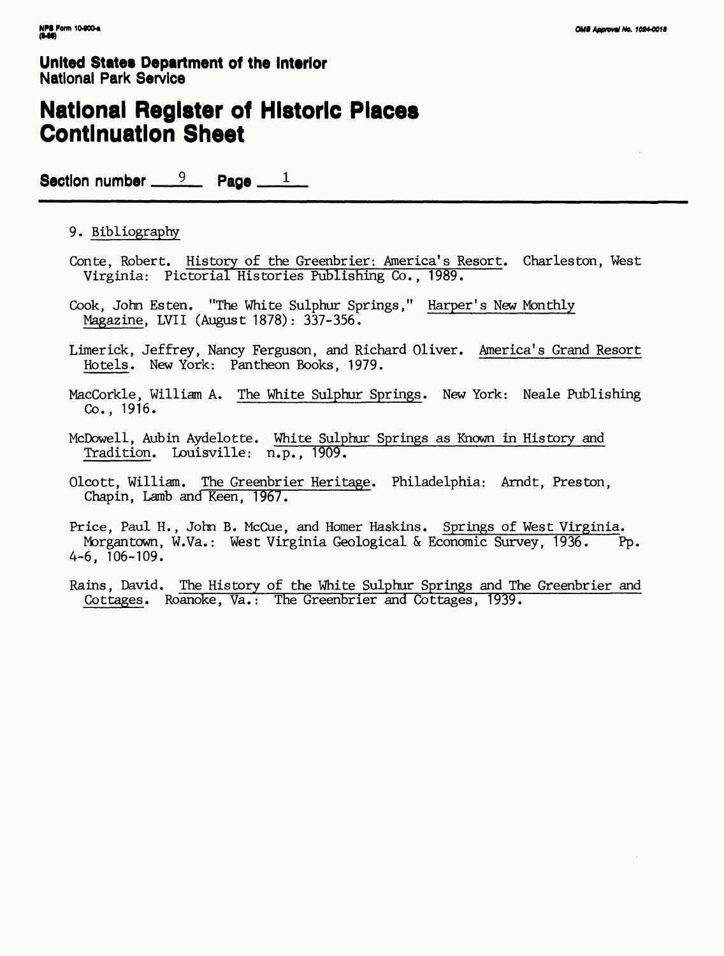### **National Register of Historic Places Continuation Sheet**

Section number  $9$  Page  $1$ 

### 9. Bibliography

- Conte, Robert. History of the Greenbrier: America's Resort. Charleston, West Virginia: Pictorial Histories Publishing Co., 1989.
- Cook, John Esten. "The White Sulphur Springs," Harper's New Monthly Magazine, LVII (August 1878): 337-356.
- Limerick, Jeffrey, Nancy Ferguson, and Richard Oliver. America's Grand Resort Hotels. New York: Pantheon Books, 1979.
- MacCorkle, William A. The White Sulphur Springs. New York: Neale Publishing Co., 1916.
- McDowell, Aubin Aydelotte. White Sulphur Springs as Known in History and Tradition. Louisville: n.p., 1909.
- Olcott, William. The Greenbrier Heritage. Philadelphia: Arndt, Preston, Chapin, Lamb and Keen, 1967.

Price, Paul H., John B. McCue, and Homer Haskins. Springs of West Virginia. Morgantown, W.Va.: West Virginia Geological & Economic Survey, 1936. Pp. 4-6, 106-109.

Rains, David. The History of the White Sulphur Springs and The Greenbrier and Cottages. Roanoke, Va.: The Greenbrier and Cottages, 1939.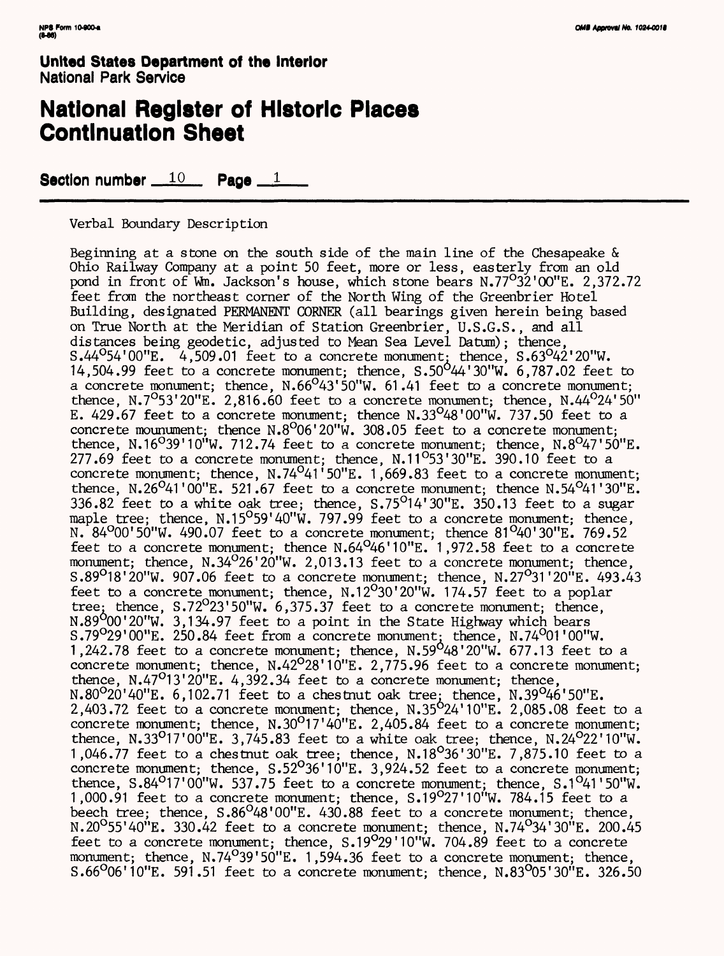### **National Register of Historic Places Continuation Sheet**

Section number  $10$  Page  $1$ 

Verbal Boundary Description

Beginning at *a* stone on the south side of the main line of the Chesapeake & Ohio Railway Company at a point 50 feet, more or less, easterly from an old pond in front of Wn. Jackson's house, which stone bears N.77°32'00"E. 2,372.72 feet from the northeast corner of the North Wing of the Greenbrier Hotel Building, designated PERMANENT CORNER (all bearings given herein being based on True North at the Meridian of Station Greenbrier, U.S.G.S., and all distances being geodetic, adjusted to Mean Sea Level Datum); thence,  $S.44^{\circ}54'00''E.$  4,509.01 feet to a concrete monument, thence,  $S.63^{\circ}42'20''W.$ 14,504.99 feet to a concrete monument; thence,  $S.50^{0}44'30''W.$  6,787.02 feet to a concrete monument; thence,  $N.66^{\circ}43'50''W$ ,  $61.41$  feet to a concrete monument; thence, N.7<sup>0</sup>53'20"E. 2,816.60 feet to a concrete monument; thence, N.44<sup>0</sup>24'50" E.  $429.67$  feet to a concrete monument; thence N.33<sup>0</sup>48'00"W. 737.50 feet to a concrete mounument; thence  $N.8^{\circ}06'20''W$ . 308.05 feet to a concrete monument; thence, N.16<sup>0</sup>39'10"W. 712.74 feet to a concrete monument; thence, N.8<sup>0</sup>47'50"E. 277.69 feet to a concrete monument; thence, N.11°53'30"E. 390.10 feet to a concrete monument; thence,  $N.74^041'50''E. 1,669.83$  feet to a concrete monument; thence, N.26<sup>0</sup>41'00"E. 521.67 feet to a concrete monument; thence N.54<sup>0</sup>41'30"E. 336.82 feet to a white oak tree; thence,  $S.75^{\circ}14'30''E$ . 350.13 feet to a sugar maple tree; thence, N.15<sup>0</sup>59'40"W. 797.99 feet to a concrete monument; thence, N. 84 $^{0}$ 00'50"W. 490.07 feet to a concrete monument; thence 81 $^{0}$ 40'30"E. 769.52 feet to a concrete monument; thence N.64°46'10"E. 1 ,972.58 feet to a concrete monument; thence, N.34 $^{0}$ 26'20"W. 2,013.13 feet to a concrete monument; thence, S.89<sup>0</sup>18'20"W. 907.06 feet to a concrete monument; thence, N.27<sup>0</sup>31'20"E. 493.43 feet to a concrete monument; thence, N.12°30'20"W. 174.57 feet to a poplar tree; thence,  $S.72^{\circ}23'50''W.$  6,375.37 feet to a concrete monument; thence, N.89 $^{9}$ 00'20"W. 3.134.97 feet to a point in the State Highway which bears S.79 $^{\circ}$ 29'00"E. 250.84 feet from a concrete monument; thence, N.74 $^{\circ}$ 01'00"W. 1,242.78 feet to a concrete monument; thence,  $N.59^{\circ}48'20''W.$  677.13 feet to a concrete monument; thence,  $N.42^O 28' 10''E$ . 2,775.96 feet to a concrete monument; thence,  $N.47^{\circ}13'20''E. 4,392.34$  feet to a concrete monument; thence,  $N.80^{\circ}20'40''E.$  6,102.71 feet to a chestnut oak tree, thence,  $N.39^{\circ}46'50''E.$  $2,403.72$  feet to a concrete monument; thence,  $N.35^{O}24'10''E$ .  $2,085.08$  feet to a concrete monument; thence,  $N.30^017'40''E. 2,405.84$  feet to a concrete monument; thence, N.33<sup>0</sup>17'00"E. 3,745.83 feet to a white oak tree; thence, N.24<sup>0</sup>22'10"W. 1,046.77 feet to a chestnut oak tree; thence, N.18<sup>0</sup>36'30"E. 7,875.10 feet to a concrete monument; thence,  $S.52^036'10''E. 3,924.52$  feet to a concrete monument; thence,  $S.84^{\circ}17'00''W.$  537.75 feet to a concrete monument; thence,  $S.1^{\circ}41'50''W.$ 1,000.91 feet to a concrete monument; thence, S.19027'10"W. 784.15 feet to a beech tree; thence, S.86<sup>0</sup>48'00"E. 430.88 feet to a concrete monument; thence, N.20 $^{0}$ 55'40"E. 330.42 feet to a concrete monument; thence, N.74 $^{0}$ 34'30"E. 200.45 feet to a concrete monument; thence, S.19°29'10"W. 704.89 feet to a concrete monument; thence,  $N.74^039'50''E$ , 1,594.36 feet to a concrete monument; thence, S.66°06'10"E. 591.51 feet to a concrete monument; thence, N.83°05'30"E. 326.50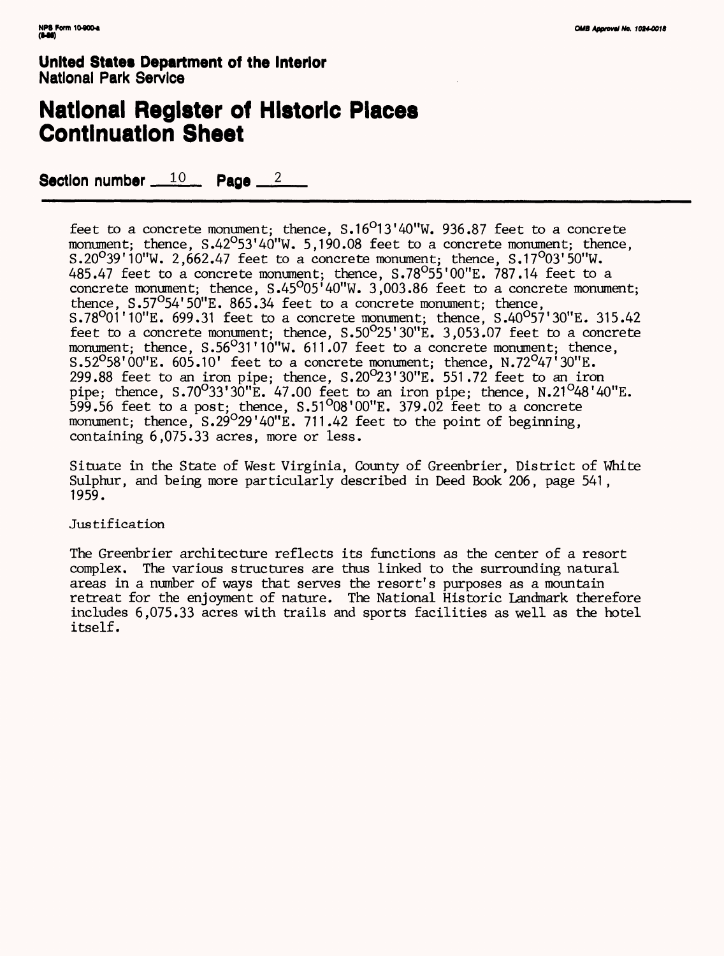## **National Register of Historic Places Continuation Sheet**

Section number  $10$  Page  $2$ 

feet to a concrete monument; thence,  $S.16^O13'40''W.$  936.87 feet to a concrete monument; thence,  $S.42^{\circ}53'40''W. 5.190.08$  feet to a concrete monument; thence, S.20°39'10"W. 2,662.47 feet to *a* concrete monument; thence, S.17°03'50"W. 485.47 feet to a concrete monument; thence, S.78°55'00"E. 787.14 feet to a concrete monument; thence, S.45°05'40"W. 3,003.86 feet to a concrete monument; thence,  $S.57^{\circ}54'50''E. 865.34$  feet to a concrete monument; thence, S.78 $^{0}$ 01'10"E. 699.31 feet to a concrete monument; thence, S.40 $^{0}$ 57'30"E. 315.42 feet to a concrete monument; thence, S.50°25'30"E. 3,053.07 feet to a concrete monument; thence, S.56°31'10"W. 611.07 feet to a concrete monument; thence, S.52<sup>0</sup>58'00"E. 605.10' feet to a concrete monument; thence, N.72<sup>0</sup>47'30"E. 299.88 feet to an iron pipe; thence, S.20°23'30"E. 551.72 feet to an iron pipe; thence,  $S.70^033'30''E.$  47.00 feet to an iron pipe; thence,  $N.21^048'40''E.$  $599.56$  feet to a post; thence,  $S.51^{0}08'00''E$ . 379.02 feet to a concrete monument; thence, S.29<sup>0</sup>29'40"E. 711.42 feet to the point of beginning, containing 6,075.33 acres, more or less.

Situate in the State of West Virginia, County of Greenbrier, District of White Sulphur, and being more particularly described in Deed Book 206, page 541 , 1959.

#### Justification

The Greenbrier architecture reflects its functions as the center of a resort complex. The various structures are thus linked to the surrounding natural areas in a number of ways that serves the resort's purposes as a mountain retreat for the enjoyment of nature. The National Historic Landmark therefore includes 6,075.33 acres with trails and sports facilities as well as the hotel itself.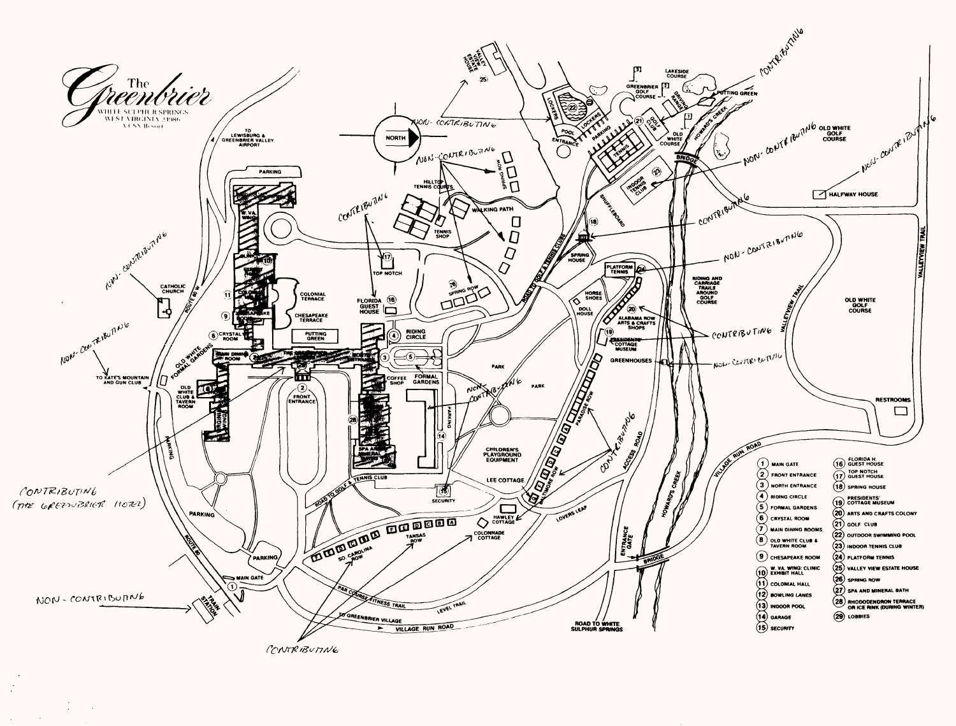

 $\sim$ 

 $\sim$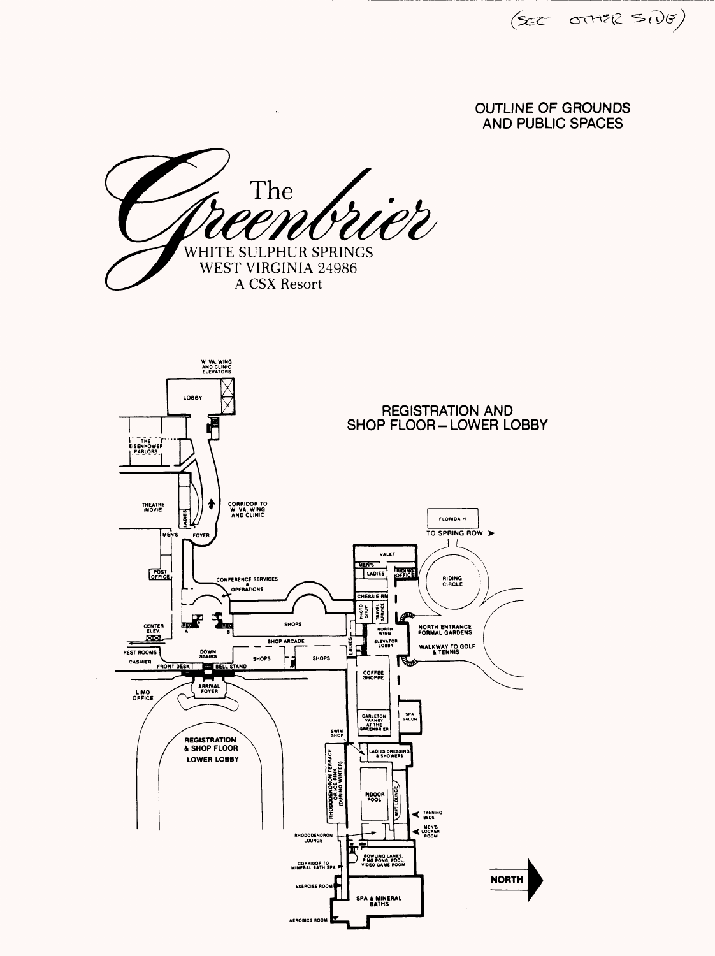$(\mathsf{sec} \ \text{crit}\ \mathsf{Re} \ \text{sin}\ \theta)$ 

### OUTLINE OF GROUNDS AND PUBLIC SPACES